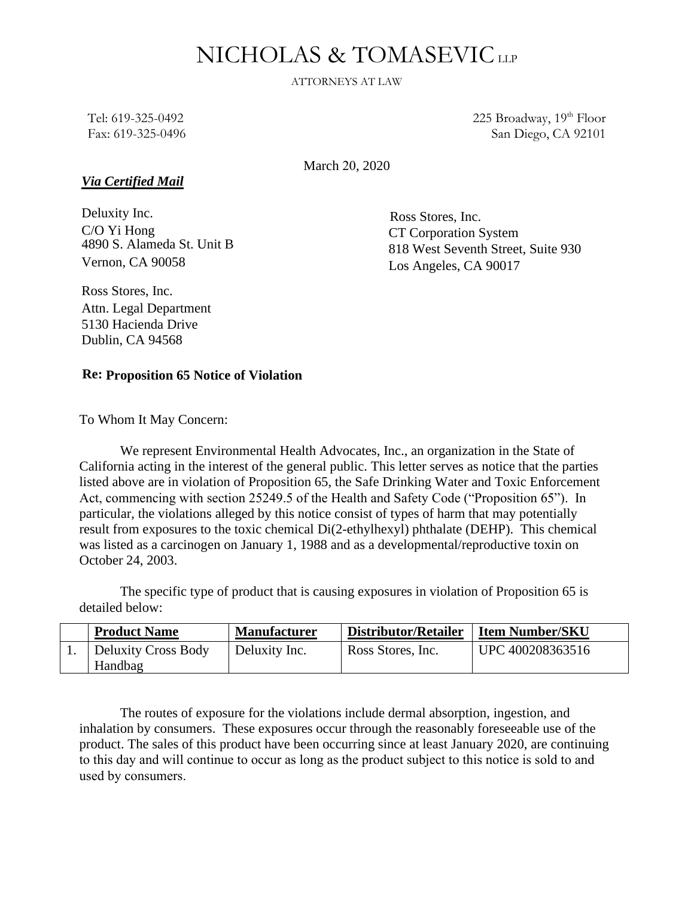# NICHOLAS & TOMASEVICLLP

ATTORNEYS AT LAW

Tel: 619-325-0492 Fax: 619-325-0496 225 Broadway,  $19<sup>th</sup>$  Floor San Diego, CA 92101

March 20, 2020

# *Via Certified Mail*

Deluxity Inc. C/O Yi Hong 4890 S. Alameda St. Unit B Vernon, CA 90058

Ross Stores, Inc. CT Corporation System 818 West Seventh Street, Suite 930 Los Angeles, CA 90017

Ross Stores, Inc. Attn. Legal Department 5130 Hacienda Drive Dublin, CA 94568

# **Re: Proposition 65 Notice of Violation**

To Whom It May Concern:

We represent Environmental Health Advocates, Inc., an organization in the State of California acting in the interest of the general public. This letter serves as notice that the parties listed above are in violation of Proposition 65, the Safe Drinking Water and Toxic Enforcement Act, commencing with section 25249.5 of the Health and Safety Code ("Proposition 65"). In particular, the violations alleged by this notice consist of types of harm that may potentially result from exposures to the toxic chemical Di(2-ethylhexyl) phthalate (DEHP). This chemical was listed as a carcinogen on January 1, 1988 and as a developmental/reproductive toxin on October 24, 2003.

The specific type of product that is causing exposures in violation of Proposition 65 is detailed below:

| <b>Product Name</b>                   | <b>Manufacturer</b> | <b>Distributor/Retailer</b> | <b>Item Number/SKU</b> |
|---------------------------------------|---------------------|-----------------------------|------------------------|
| <b>Deluxity Cross Body</b><br>Handbag | Deluxity Inc.       | Ross Stores, Inc.           | UPC 400208363516       |

The routes of exposure for the violations include dermal absorption, ingestion, and inhalation by consumers. These exposures occur through the reasonably foreseeable use of the product. The sales of this product have been occurring since at least January 2020, are continuing to this day and will continue to occur as long as the product subject to this notice is sold to and used by consumers.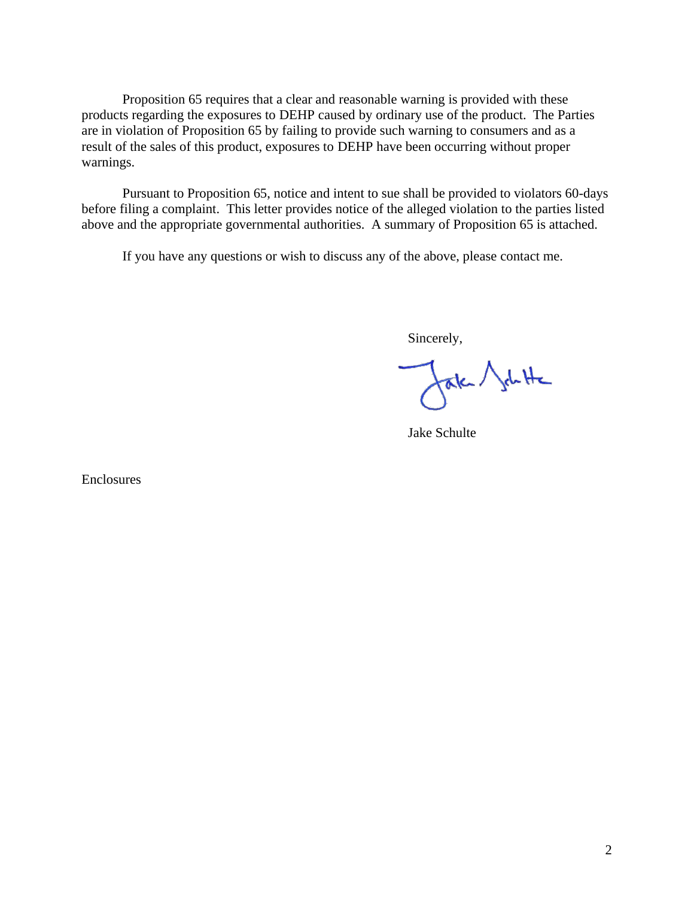Proposition 65 requires that a clear and reasonable warning is provided with these products regarding the exposures to DEHP caused by ordinary use of the product. The Parties are in violation of Proposition 65 by failing to provide such warning to consumers and as a result of the sales of this product, exposures to DEHP have been occurring without proper warnings.

Pursuant to Proposition 65, notice and intent to sue shall be provided to violators 60-days before filing a complaint. This letter provides notice of the alleged violation to the parties listed above and the appropriate governmental authorities. A summary of Proposition 65 is attached.

If you have any questions or wish to discuss any of the above, please contact me.

Sincerely,

fak Jahtte

Jake Schulte

Enclosures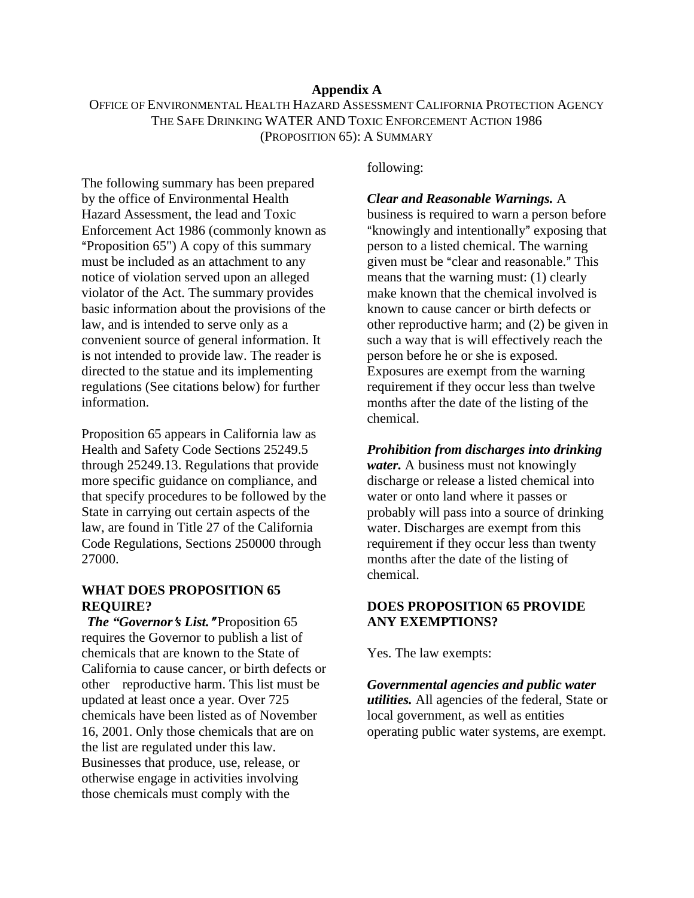## **Appendix A**

OFFICE OF ENVIRONMENTAL HEALTH HAZARD ASSESSMENT CALIFORNIA PROTECTION AGENCY THE SAFE DRINKING WATER AND TOXIC ENFORCEMENT ACTION 1986 (PROPOSITION 65): A SUMMARY

The following summary has been prepared by the office of Environmental Health Hazard Assessment, the lead and Toxic Enforcement Act 1986 (commonly known as "Proposition 65") A copy of this summary must be included as an attachment to any notice of violation served upon an alleged violator of the Act. The summary provides basic information about the provisions of the law, and is intended to serve only as a convenient source of general information. It is not intended to provide law. The reader is directed to the statue and its implementing regulations (See citations below) for further information.

Proposition 65 appears in California law as Health and Safety Code Sections 25249.5 through 25249.13. Regulations that provide more specific guidance on compliance, and that specify procedures to be followed by the State in carrying out certain aspects of the law, are found in Title 27 of the California Code Regulations, Sections 250000 through 27000.

# **WHAT DOES PROPOSITION 65 REQUIRE?**

*The "Governor's List.* "Proposition 65 requires the Governor to publish a list of chemicals that are known to the State of California to cause cancer, or birth defects or other reproductive harm. This list must be updated at least once a year. Over 725 chemicals have been listed as of November 16, 2001. Only those chemicals that are on the list are regulated under this law. Businesses that produce, use, release, or otherwise engage in activities involving those chemicals must comply with the

following:

## *Clear and Reasonable Warnings.* A

business is required to warn a person before "knowingly and intentionally" exposing that person to a listed chemical. The warning given must be "clear and reasonable." This means that the warning must: (1) clearly make known that the chemical involved is known to cause cancer or birth defects or other reproductive harm; and (2) be given in such a way that is will effectively reach the person before he or she is exposed. Exposures are exempt from the warning requirement if they occur less than twelve months after the date of the listing of the chemical.

## *Prohibition from discharges into drinking*

*water.* A business must not knowingly discharge or release a listed chemical into water or onto land where it passes or probably will pass into a source of drinking water. Discharges are exempt from this requirement if they occur less than twenty months after the date of the listing of chemical.

# **DOES PROPOSITION 65 PROVIDE ANY EXEMPTIONS?**

Yes. The law exempts:

*Governmental agencies and public water utilities.* All agencies of the federal, State or local government, as well as entities operating public water systems, are exempt.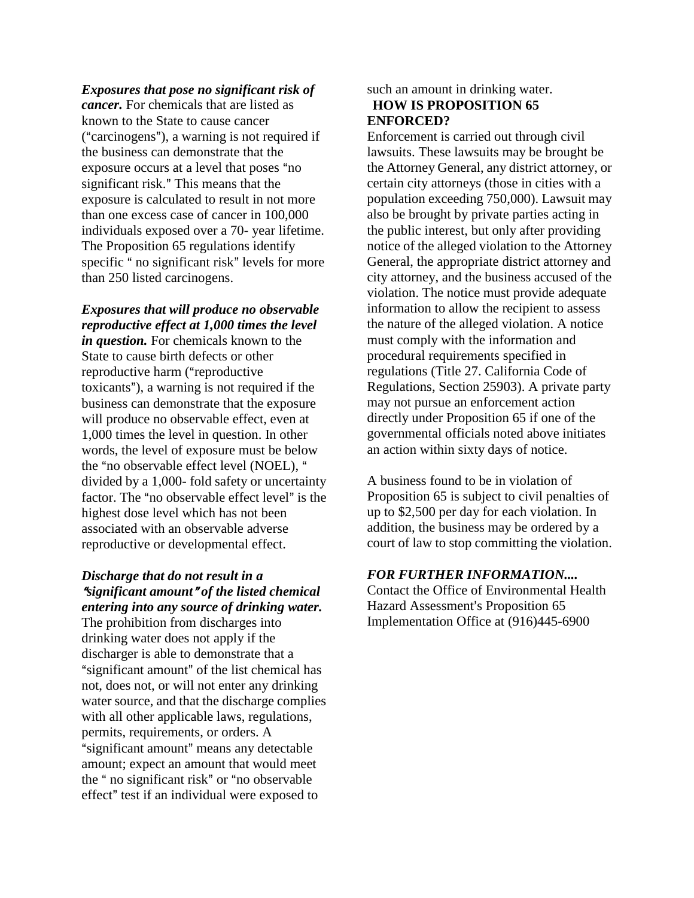#### *Exposures that pose no significant risk of*

*cancer.* For chemicals that are listed as known to the State to cause cancer  $("carcinogens"), a warning is not required if$ the business can demonstrate that the exposure occurs at a level that poses "no significant risk." This means that the exposure is calculated to result in not more than one excess case of cancer in 100,000 individuals exposed over a 70- year lifetime. The Proposition 65 regulations identify specific " no significant risk" levels for more than 250 listed carcinogens.

# *Exposures that will produce no observable reproductive effect at 1,000 times the level*

*in question.* For chemicals known to the State to cause birth defects or other reproductive harm ("reproductive toxicants"), a warning is not required if the business can demonstrate that the exposure will produce no observable effect, even at 1,000 times the level in question. In other words, the level of exposure must be below the "no observable effect level (NOEL), " divided by a 1,000- fold safety or uncertainty factor. The "no observable effect level" is the highest dose level which has not been associated with an observable adverse reproductive or developmental effect.

# *Discharge that do not result in a*  <sup>A</sup>*significant amount*@ *of the listed chemical entering into any source of drinking water.*

The prohibition from discharges into drinking water does not apply if the discharger is able to demonstrate that a "significant amount" of the list chemical has not, does not, or will not enter any drinking water source, and that the discharge complies with all other applicable laws, regulations, permits, requirements, or orders. A "significant amount" means any detectable amount; expect an amount that would meet the " no significant risk" or "no observable effect" test if an individual were exposed to

# such an amount in drinking water. **HOW IS PROPOSITION 65 ENFORCED?**

Enforcement is carried out through civil lawsuits. These lawsuits may be brought be the Attorney General, any district attorney, or certain city attorneys (those in cities with a population exceeding 750,000). Lawsuit may also be brought by private parties acting in the public interest, but only after providing notice of the alleged violation to the Attorney General, the appropriate district attorney and city attorney, and the business accused of the violation. The notice must provide adequate information to allow the recipient to assess the nature of the alleged violation. A notice must comply with the information and procedural requirements specified in regulations (Title 27. California Code of Regulations, Section 25903). A private party may not pursue an enforcement action directly under Proposition 65 if one of the governmental officials noted above initiates an action within sixty days of notice.

A business found to be in violation of Proposition 65 is subject to civil penalties of up to \$2,500 per day for each violation. In addition, the business may be ordered by a court of law to stop committing the violation.

# *FOR FURTHER INFORMATION....*

Contact the Office of Environmental Health Hazard Assessment's Proposition 65 Implementation Office at (916)445-6900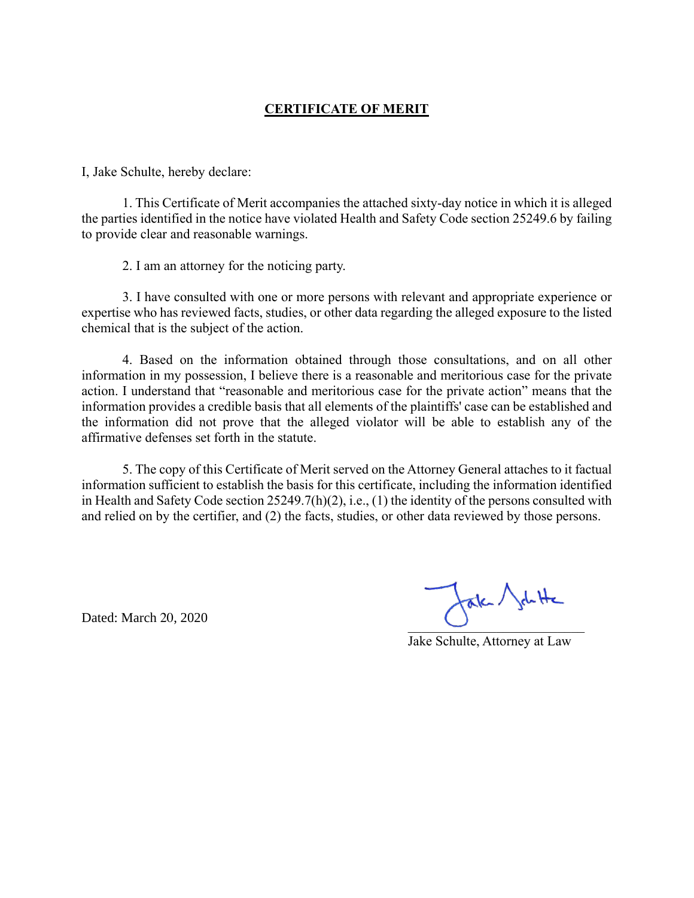# **CERTIFICATE OF MERIT**

I, Jake Schulte, hereby declare:

1. This Certificate of Merit accompanies the attached sixty-day notice in which it is alleged the parties identified in the notice have violated Health and Safety Code section 25249.6 by failing to provide clear and reasonable warnings.

2. I am an attorney for the noticing party.

3. I have consulted with one or more persons with relevant and appropriate experience or expertise who has reviewed facts, studies, or other data regarding the alleged exposure to the listed chemical that is the subject of the action.

4. Based on the information obtained through those consultations, and on all other information in my possession, I believe there is a reasonable and meritorious case for the private action. I understand that "reasonable and meritorious case for the private action" means that the information provides a credible basis that all elements of the plaintiffs' case can be established and the information did not prove that the alleged violator will be able to establish any of the affirmative defenses set forth in the statute.

5. The copy of this Certificate of Merit served on the Attorney General attaches to it factual information sufficient to establish the basis for this certificate, including the information identified in Health and Safety Code section 25249.7(h)(2), i.e., (1) the identity of the persons consulted with and relied on by the certifier, and (2) the facts, studies, or other data reviewed by those persons.

Dated: March 20, 2020

 $\cup$ 

Jake Schulte, Attorney at Law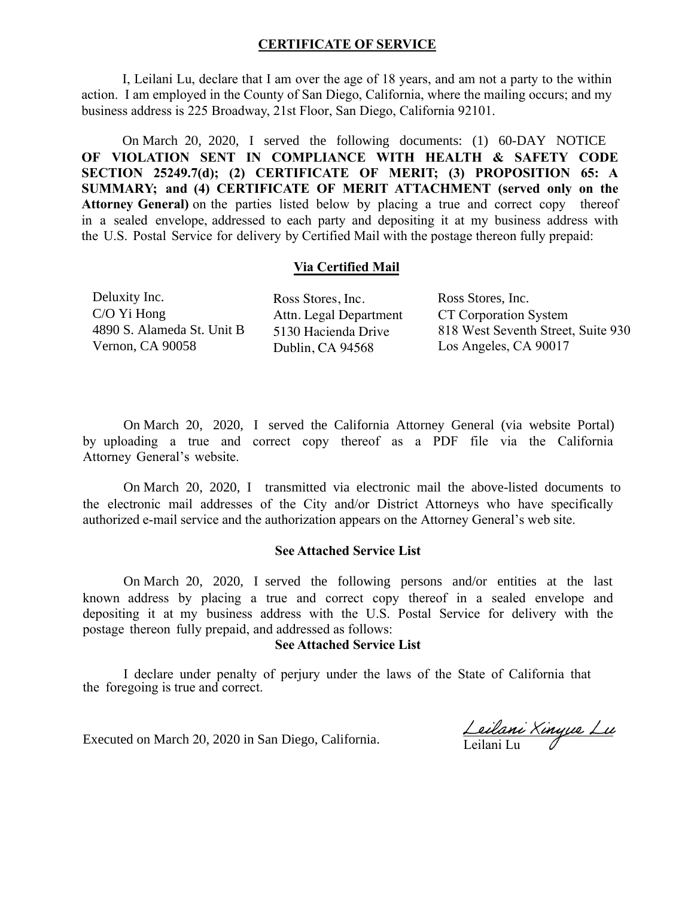## **CERTIFICATE OF SERVICE**

I, Leilani Lu, declare that I am over the age of 18 years, and am not a party to the within action. I am employed in the County of San Diego, California, where the mailing occurs; and my business address is 225 Broadway, 21st Floor, San Diego, California 92101.

**OF VIOLATION SENT IN COMPLIANCE WITH HEALTH & SAFETY CODE SECTION 25249.7(d); (2) CERTIFICATE OF MERIT; (3) PROPOSITION 65: A SUMMARY; and (4) CERTIFICATE OF MERIT ATTACHMENT (served only on the Attorney General)** on the parties listed below by placing a true and correct copy thereof in a sealed envelope, addressed to each party and depositing it at my business address with the U.S. Postal Service for delivery by Certified Mail with the postage thereon fully prepaid: On March 20, 2020, I served the following documents: (1) 60-DAY NOTICE

### **Via Certified Mail**

Deluxity Inc. C/O Yi Hong 4890 S. Alameda St. Unit B Vernon, CA 90058

Ross Stores, Inc. Attn. Legal Department 5130 Hacienda Drive Dublin, CA 94568

CT Corporation System 818 West Seventh Street, Suite 930 Los Angeles, CA 90017 Ross Stores, Inc.

by uploading a true and correct copy thereof as a PDF file via the California Attorney General's website. On March 20, 2020, I served the California Attorney General (via website Portal)

the electronic mail addresses of the City and/or District Attorneys who have specifically authorized e-mail service and the authorization appears on the Attorney General's web site. On March 20, 2020, I transmitted via electronic mail the above-listed documents to

#### **See Attached Service List**

known address by placing a true and correct copy thereof in a sealed envelope and depositing it at my business address with the U.S. Postal Service for delivery with the postage thereon fully prepaid, and addressed as follows: On March 20, 2020, I served the following persons and/or entities at the last

#### **See Attached Service List**

I declare under penalty of perjury under the laws of the State of California that the foregoing is true and correct.

Executed on March 20, 2020 in San Diego, California.

Leilani Xinyue Lu Leilani Lu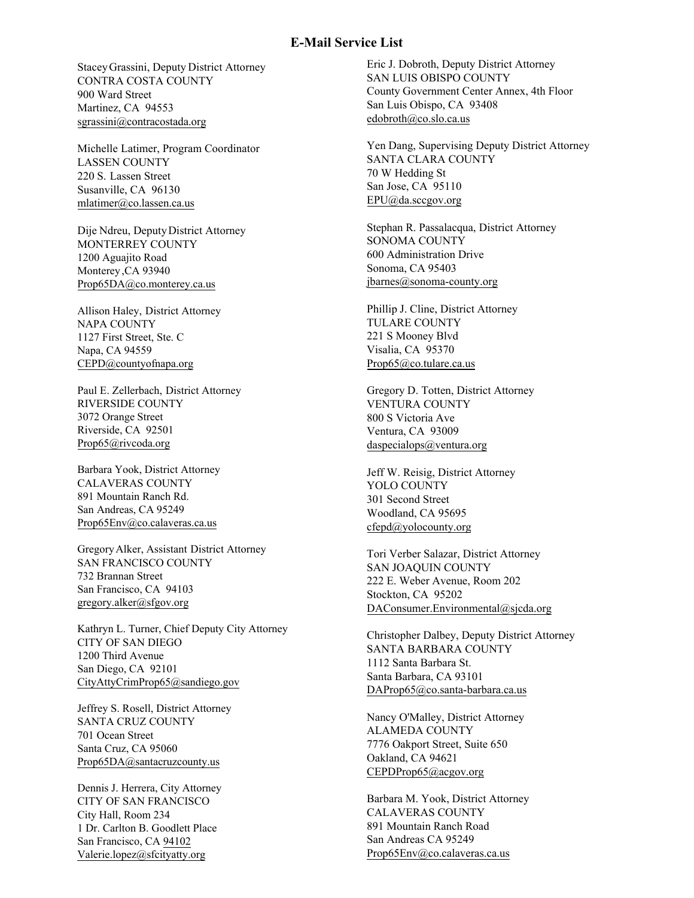#### **E-Mail Service List**

Stacey Grassini, Deputy District Attorney CONTRA COSTA COUNTY 900 Ward Street Martinez, CA 94553 sgrassini@contracostada.org

Michelle Latimer, Program Coordinator LASSEN COUNTY [220 S. Lassen Street](mailto:sgrassini@contracostada.org)  Susanville, CA 96130 mlatimer@co.lassen.ca.us

Dije Ndreu, Deputy District Attorney MONTERREY COUNTY 1200 Aguajito Road [Monterey ,CA 93940](mailto:mlatimer@co.lassen.ca.us)  Prop65DA@co.monterey.ca.us

Allison Haley, District Attorney NAPA COUNTY 1127 First Street, Ste. C Napa, CA 94559 [CEPD@countyofnapa.org](mailto:Prop65DA@co.monterey.ca.us) 

Paul E. Zellerbach, District Attorney RIVERSIDE COUNTY 3072 Orange Street Riverside, CA 92501 Prop65@rivcoda.org

[Barbara Yook, District Attorney](mailto:CEPD@countyofnapa.org)  CALAVERAS COUNTY 891 Mountain Ranch Rd. San Andreas, CA 95249 Prop65Env@co.calaveras.ca.us

[Gregory Alker, Assistant D](mailto:Prop65@rivcoda.org)istrict Attorney SAN FRANCISCO COUNTY 732 Brannan Street San Francisco, CA 94103 gregory.alker@sfgov.org

Kathryn L. Turner, Chief Deputy City Attorney [CITY OF SAN DIEGO](mailto:Prop65Env@co.calaveras.ca.us)  1200 Third Avenue San Diego, CA 92101 CityAttyCrimProp65@sandiego.gov

Jeffrey S. Rosell, District Attorney SANTA CRUZ COUNTY 701 Ocean Street Santa Cruz, CA 95060 [Prop65DA@santacruzcounty.us](mailto:gregory.alker@sfgov.org) 

Dennis J. Herrera, City Attorney CITY OF SAN FRANCISCO City Hall, Room 234 1 Dr. Carlton B. Goodlett Place San Francisco, CA 94102 Valerie.lopez@sfcityatty.org

Eric J. Dobroth, Deputy District Attorney SAN LUIS OBISPO COUNTY County Government Center Annex, 4th Floor San Luis Obispo, CA 93408 edobroth@co.slo.ca.us

Yen Dang, Supervising Deputy District Attorney SANTA CLARA COUNTY [70 W Hedding St](mailto:edobroth@co.slo.ca.us)  San Jose, CA 95110 EPU@da.sccgov.org

Stephan R. Passalacqua, District Attorney SONOMA COUNTY 600 Administration Drive [Sonoma, CA 95403](mailto:EPU@da.sccgov.org)  jbarnes@sonoma-county.org

Phillip J. Cline, District Attorney TULARE COUNTY 221 S Mooney Blvd Visalia, CA 95370 Prop65@co.tulare.ca.us

Gregory D. Totten, District Attorney VENTURA COUNTY 800 S Victoria Ave Ventura, CA 93009 daspecialops@ventura.org

Jeff W. Reisig, District Attorney YOLO COUNTY 301 Second Street Woodland, CA 95695 cfepd@yolocounty.org

[Tori Verber Salazar, District Att](mailto:daspecialops@ventura.org)orney SAN JOAQUIN COUNTY 222 E. Weber Avenue, Room 202 Stockton, CA 95202 DAConsumer.Environmental@sjcda.org

Christopher Dalbey, Deputy District Attorney [SANTA BARBARA COUN](mailto:cfepd@yolocounty.org)TY 1112 Santa Barbara St. Santa Barbara, CA 93101 DAProp65@co.santa-barbara.ca.us

Nancy O'Malley, District Attorney ALAMEDA COUNTY 7776 Oakport Street, Suite 650 [Oakland, CA 94621](mailto:DAConsumer.Environmental@sjcda.org)  CEPDProp65@acgov.org

Barbara M. Yook, District Attorney CALAVERAS COUNTY 891 Mountain Ranch Road San Andreas CA 95249 Prop65Env@co.calaveras.ca.us